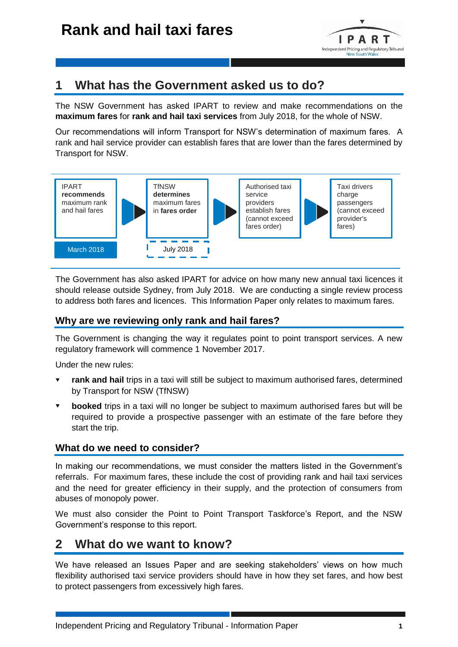

# **1 What has the Government asked us to do?**

The NSW Government has asked IPART to review and make recommendations on the **maximum fares** for **rank and hail taxi services** from July 2018, for the whole of NSW.

Our recommendations will inform Transport for NSW's determination of maximum fares. A rank and hail service provider can establish fares that are lower than the fares determined by Transport for NSW.



The Government has also asked IPART for advice on how many new annual taxi licences it should release outside Sydney, from July 2018. We are conducting a single review process to address both fares and licences. This Information Paper only relates to maximum fares.

### **Why are we reviewing only rank and hail fares?**

The Government is changing the way it regulates point to point transport services. A new regulatory framework will commence 1 November 2017.

Under the new rules:

- **rank and hail** trips in a taxi will still be subject to maximum authorised fares, determined by Transport for NSW (TfNSW)
- **booked** trips in a taxi will no longer be subject to maximum authorised fares but will be required to provide a prospective passenger with an estimate of the fare before they start the trip.

## **What do we need to consider?**

In making our recommendations, we must consider the matters listed in the Government's referrals. For maximum fares, these include the cost of providing rank and hail taxi services and the need for greater efficiency in their supply, and the protection of consumers from abuses of monopoly power.

We must also consider the Point to Point Transport Taskforce's Report, and the NSW Government's response to this report.

# **2 What do we want to know?**

We have released an Issues Paper and are seeking stakeholders' views on how much flexibility authorised taxi service providers should have in how they set fares, and how best to protect passengers from excessively high fares.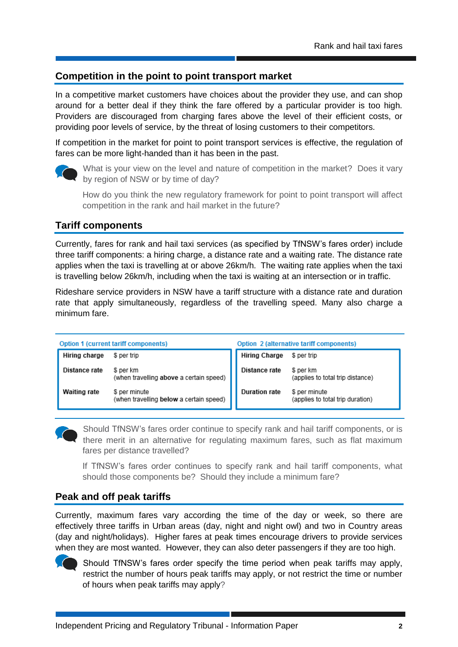## **Competition in the point to point transport market**

In a competitive market customers have choices about the provider they use, and can shop around for a better deal if they think the fare offered by a particular provider is too high. Providers are discouraged from charging fares above the level of their efficient costs, or providing poor levels of service, by the threat of losing customers to their competitors.

If competition in the market for point to point transport services is effective, the regulation of fares can be more light-handed than it has been in the past.



What is your view on the level and nature of competition in the market? Does it vary by region of NSW or by time of day?

How do you think the new regulatory framework for point to point transport will affect competition in the rank and hail market in the future?

### **Tariff components**

Currently, fares for rank and hail taxi services (as specified by TfNSW's fares order) include three tariff components: a hiring charge, a distance rate and a waiting rate. The distance rate applies when the taxi is travelling at or above 26km/h. The waiting rate applies when the taxi is travelling below 26km/h, including when the taxi is waiting at an intersection or in traffic.

Rideshare service providers in NSW have a tariff structure with a distance rate and duration rate that apply simultaneously, regardless of the travelling speed. Many also charge a minimum fare.

| Option 1 (current tariff components) |                                                          | Option 2 (alternative tariff components) |                                                   |
|--------------------------------------|----------------------------------------------------------|------------------------------------------|---------------------------------------------------|
| Hiring charge                        | \$ per trip                                              | <b>Hiring Charge</b>                     | \$ per trip                                       |
| Distance rate                        | \$ per km<br>(when travelling above a certain speed)     | Distance rate                            | S per km<br>(applies to total trip distance)      |
| <b>Waiting rate</b>                  | \$ per minute<br>(when travelling below a certain speed) | <b>Duration rate</b>                     | \$ per minute<br>(applies to total trip duration) |

Should TfNSW's fares order continue to specify rank and hail tariff components, or is there merit in an alternative for regulating maximum fares, such as flat maximum fares per distance travelled?

If TfNSW's fares order continues to specify rank and hail tariff components, what should those components be? Should they include a minimum fare?

#### **Peak and off peak tariffs**

Currently, maximum fares vary according the time of the day or week, so there are effectively three tariffs in Urban areas (day, night and night owl) and two in Country areas (day and night/holidays). Higher fares at peak times encourage drivers to provide services when they are most wanted. However, they can also deter passengers if they are too high.



Should TfNSW's fares order specify the time period when peak tariffs may apply, restrict the number of hours peak tariffs may apply, or not restrict the time or number of hours when peak tariffs may apply?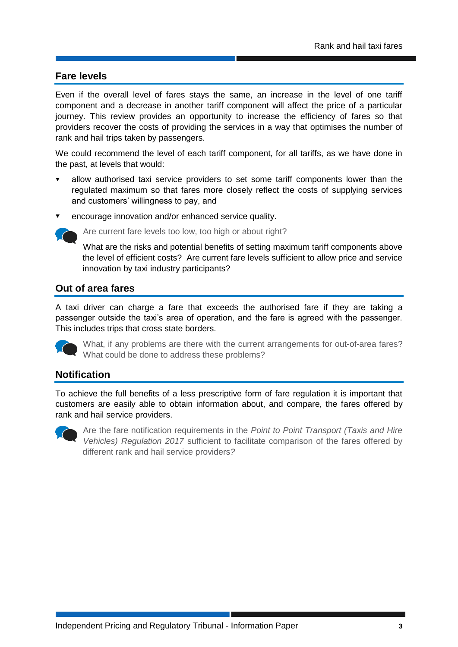### **Fare levels**

Even if the overall level of fares stays the same, an increase in the level of one tariff component and a decrease in another tariff component will affect the price of a particular journey. This review provides an opportunity to increase the efficiency of fares so that providers recover the costs of providing the services in a way that optimises the number of rank and hail trips taken by passengers.

We could recommend the level of each tariff component, for all tariffs, as we have done in the past, at levels that would:

- allow authorised taxi service providers to set some tariff components lower than the regulated maximum so that fares more closely reflect the costs of supplying services and customers' willingness to pay, and
- encourage innovation and/or enhanced service quality.

Are current fare levels too low, too high or about right?

What are the risks and potential benefits of setting maximum tariff components above the level of efficient costs? Are current fare levels sufficient to allow price and service innovation by taxi industry participants?

#### **Out of area fares**

A taxi driver can charge a fare that exceeds the authorised fare if they are taking a passenger outside the taxi's area of operation, and the fare is agreed with the passenger. This includes trips that cross state borders.



What, if any problems are there with the current arrangements for out-of-area fares? What could be done to address these problems?

#### **Notification**

To achieve the full benefits of a less prescriptive form of fare regulation it is important that customers are easily able to obtain information about, and compare, the fares offered by rank and hail service providers.



Are the fare notification requirements in the *Point to Point Transport (Taxis and Hire Vehicles) Regulation 2017* sufficient to facilitate comparison of the fares offered by different rank and hail service providers*?*